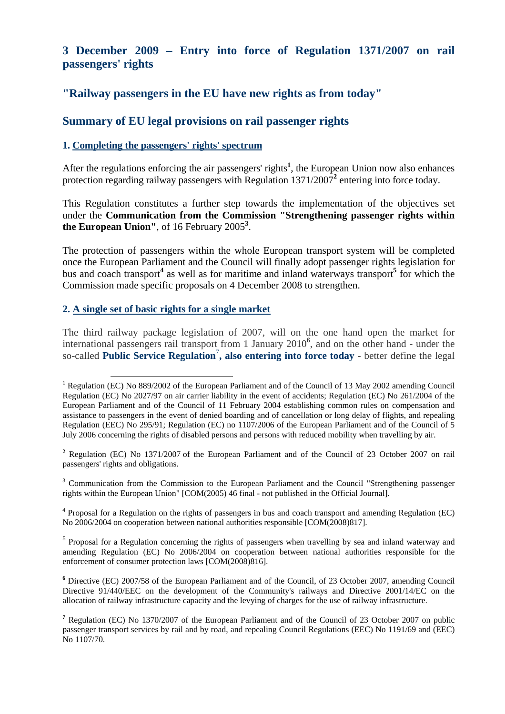# **3 December 2009 – Entry into force of Regulation 1371/2007 on rail passengers' rights**

# **"Railway passengers in the EU have new rights as from today"**

# **Summary of EU legal provisions on rail passenger rights**

### **1. Completing the passengers' rights' spectrum**

After the regulations enforcing the air passengers' rights**<sup>1</sup>** , the European Union now also enhances protection regarding railway passengers with Regulation 1371/2007<sup>2</sup> entering into force today.

This Regulation constitutes a further step towards the implementation of the objectives set under the **Communication from the Commission "Strengthening passenger rights within the European Union"**, of 16 February 2005**<sup>3</sup>** .

The protection of passengers within the whole European transport system will be completed once the European Parliament and the Council will finally adopt passenger rights legislation for bus and coach transport<sup>4</sup> as well as for maritime and inland waterways transport<sup>5</sup> for which the Commission made specific proposals on 4 December 2008 to strengthen.

### **2. A single set of basic rights for a single market**

The third railway package legislation of 2007, will on the one hand open the market for international passengers rail transport from 1 January 2010**<sup>6</sup>** , and on the other hand - under the so-called **Public Service Regulation**<sup>7</sup> **, also entering into force today** - better define the legal

<sup>2</sup> Regulation (EC) No [1371/2007 o](http://eur-lex.europa.eu/LexUriServ/LexUriServ.do?uri=CELEX:32007R1371:EN:NOT)f the European Parliament and of the Council of 23 October 2007 on rail passengers' rights and obligations.

<sup>3</sup> Communication from the Commission to the European Parliament and the Council "Strengthening passenger rights within the European Union" [\[COM\(2005\) 46 f](http://eur-lex.europa.eu/smartapi/cgi/sga_doc?smartapi!celexplus!prod!DocNumber&lg=en&type_doc=COMfinal&an_doc=2005&nu_doc=46)inal - not published in the Official Journal].

<sup>4</sup> Proposal for a Regulation on the rights of passengers in bus and coach transport and amending Regulation (EC) [No 2006/2004 on cooperation between national authorities responsible \[COM\(2008\)817\].](http://eur-lex.europa.eu/LexUriServ/LexUriServ.do?uri=CELEX:DKEY=484295:EN:NOT) 

<sup>5</sup> Proposal for a Regulation concerning the rights of passengers when travelling by sea and inland waterway and [amending Regulation \(EC\) No 2006/2004 on cooperation between national authorities responsible for the](http://eur-lex.europa.eu/LexUriServ/LexUriServ.do?uri=CELEX:DKEY=484574:EN:NOT)  [enforcement of consumer protection laws \[COM\(2008\)816\].](http://eur-lex.europa.eu/LexUriServ/LexUriServ.do?uri=CELEX:DKEY=484574:EN:NOT) 

<sup>6</sup> Directive (EC) 2007/58 of the European Parliament and of the Council, of 23 October 2007, amending Council Directive 91/440/EEC on the development of the Community's railways and Directive 2001/14/EC on the allocation of railway infrastructure capacity and the levying of charges for the use of railway infrastructure.

<sup>&</sup>lt;sup>1</sup> Regulation (EC) No 889/2002 of the European Parliament and of the Council of 13 May 2002 amending Council Regulation (EC) No 2027/97 on air carrier liability in the event of accidents; [Regulation \(EC\) No 261/2004 of the](http://eur-lex.europa.eu/LexUriServ/LexUriServ.do?uri=CELEX:32004R0261:EN:HTML:NOT)  [European Parliament and of the Council of 11 February 2004 establishing common rules on compensation and](http://eur-lex.europa.eu/LexUriServ/LexUriServ.do?uri=CELEX:32004R0261:EN:HTML:NOT)  [assistance to passengers in the event of denied boarding and of cancellation or long delay of flights, and repealing](http://eur-lex.europa.eu/LexUriServ/LexUriServ.do?uri=CELEX:32004R0261:EN:HTML:NOT)  [Regulation \(EEC\) No 295/91;](http://eur-lex.europa.eu/LexUriServ/LexUriServ.do?uri=CELEX:32004R0261:EN:HTML:NOT) [Regulation \(EC\) no 1107/2006 of the European Parliament and of the Council of 5](http://eur-lex.europa.eu/LexUriServ/LexUriServ.do?uri=CELEX:32006R1107:EN:HTML:NOT)  [July 2006 concerning the rights of disabled persons and persons with reduced mobility when travelling by air.](http://eur-lex.europa.eu/LexUriServ/LexUriServ.do?uri=CELEX:32006R1107:EN:HTML:NOT)

<sup>&</sup>lt;sup>7</sup> Regulation (EC) No [1370/2007](http://eur-lex.europa.eu/smartapi/cgi/sga_doc?smartapi!celexplus!prod!DocNumber&lg=en&type_doc=Regulation&an_doc=2007&nu_doc=1370) of the European Parliament and of the Council of 23 October 2007 on public passenger transport services by rail and by road, and repealing Council Regulations (EEC) N[o 1191/69](http://eur-lex.europa.eu/smartapi/cgi/sga_doc?smartapi!celexplus!prod!DocNumber&lg=en&type_doc=Regulation&an_doc=1969&nu_doc=1191) and (EEC) No 1107/70.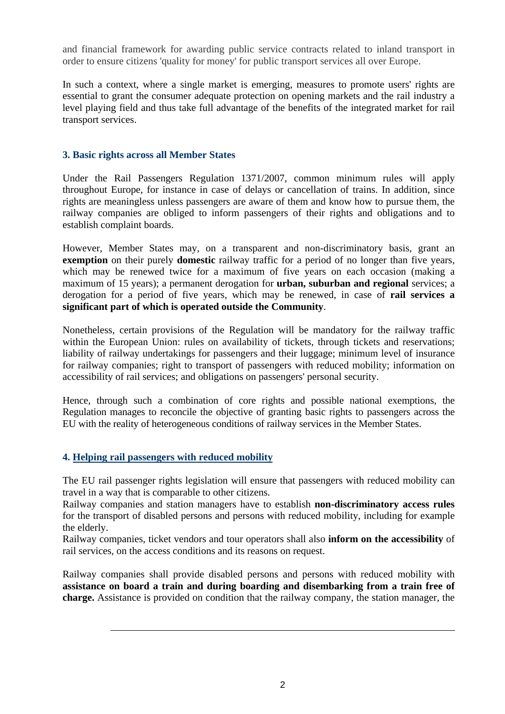and financial framework for awarding public service contracts related to inland transport in order to ensure citizens 'quality for money' for public transport services all over Europe.

In such a context, where a single market is emerging, measures to promote users' rights are essential to grant the consumer adequate protection on opening markets and the rail industry a level playing field and thus take full advantage of the benefits of the integrated market for rail transport services.

### **3. Basic rights across all Member States**

Under the Rail Passengers Regulation 1371/2007, common minimum rules will apply throughout Europe, for instance in case of delays or cancellation of trains. In addition, since rights are meaningless unless passengers are aware of them and know how to pursue them, the railway companies are obliged to inform passengers of their rights and obligations and to establish complaint boards.

However, Member States may, on a transparent and non-discriminatory basis, grant an **exemption** on their purely **domestic** railway traffic for a period of no longer than five years, which may be renewed twice for a maximum of five years on each occasion (making a maximum of 15 years); a permanent derogation for **urban, suburban and regional** services; a derogation for a period of five years, which may be renewed, in case of **rail services a significant part of which is operated outside the Community**.

Nonetheless, certain provisions of the Regulation will be mandatory for the railway traffic within the European Union: rules on availability of tickets, through tickets and reservations; liability of railway undertakings for passengers and their luggage; minimum level of insurance for railway companies; right to transport of passengers with reduced mobility; information on accessibility of rail services; and obligations on passengers' personal security.

Hence, through such a combination of core rights and possible national exemptions, the Regulation manages to reconcile the objective of granting basic rights to passengers across the EU with the reality of heterogeneous conditions of railway services in the Member States.

## **4. Helping rail passengers with reduced mobility**

 $\overline{a}$ 

The EU rail passenger rights legislation will ensure that passengers with reduced mobility can travel in a way that is comparable to other citizens.

Railway companies and station managers have to establish **non-discriminatory access rules** for the transport of disabled persons and persons with reduced mobility, including for example the elderly.

Railway companies, ticket vendors and tour operators shall also **inform on the accessibility** of rail services, on the access conditions and its reasons on request.

Railway companies shall provide disabled persons and persons with reduced mobility with **assistance on board a train and during boarding and disembarking from a train free of charge.** Assistance is provided on condition that the railway company, the station manager, the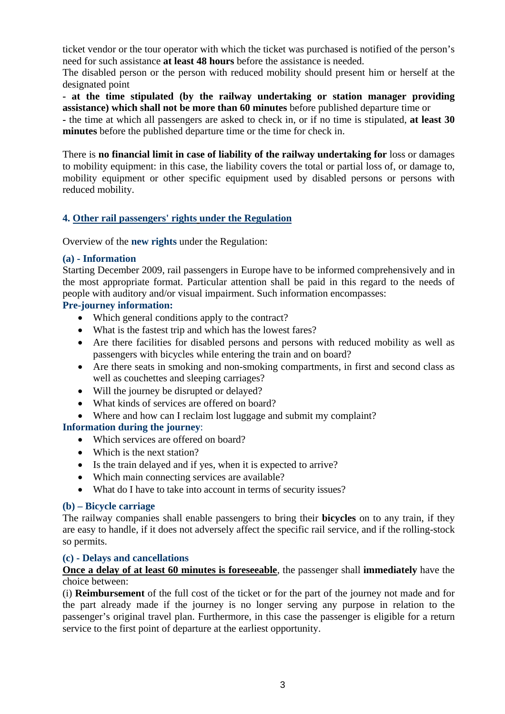ticket vendor or the tour operator with which the ticket was purchased is notified of the person's need for such assistance **at least 48 hours** before the assistance is needed.

The disabled person or the person with reduced mobility should present him or herself at the designated point

**- at the time stipulated (by the railway undertaking or station manager providing assistance) which shall not be more than 60 minutes** before published departure time or

**-** the time at which all passengers are asked to check in, or if no time is stipulated, **at least 30 minutes** before the published departure time or the time for check in.

There is **no financial limit in case of liability of the railway undertaking for** loss or damages to mobility equipment: in this case, the liability covers the total or partial loss of, or damage to, mobility equipment or other specific equipment used by disabled persons or persons with reduced mobility.

# **4. Other rail passengers' rights under the Regulation**

Overview of the **new rights** under the Regulation:

## **(a) - Information**

Starting December 2009, rail passengers in Europe have to be informed comprehensively and in the most appropriate format. Particular attention shall be paid in this regard to the needs of people with auditory and/or visual impairment. Such information encompasses:

## **Pre-journey information:**

- Which general conditions apply to the contract?
- What is the fastest trip and which has the lowest fares?
- Are there facilities for disabled persons and persons with reduced mobility as well as passengers with bicycles while entering the train and on board?
- Are there seats in smoking and non-smoking compartments, in first and second class as well as couchettes and sleeping carriages?
- Will the journey be disrupted or delayed?
- What kinds of services are offered on board?
- Where and how can I reclaim lost luggage and submit my complaint?

## **Information during the journey**:

- Which services are offered on board?
- Which is the next station?
- Is the train delayed and if yes, when it is expected to arrive?
- Which main connecting services are available?
- What do I have to take into account in terms of security issues?

## **(b) – Bicycle carriage**

The railway companies shall enable passengers to bring their **bicycles** on to any train, if they are easy to handle, if it does not adversely affect the specific rail service, and if the rolling-stock so permits.

## **(c) - Delays and cancellations**

## **Once a delay of at least 60 minutes is foreseeable**, the passenger shall **immediately** have the choice between:

(i) **Reimbursement** of the full cost of the ticket or for the part of the journey not made and for the part already made if the journey is no longer serving any purpose in relation to the passenger's original travel plan. Furthermore, in this case the passenger is eligible for a return service to the first point of departure at the earliest opportunity.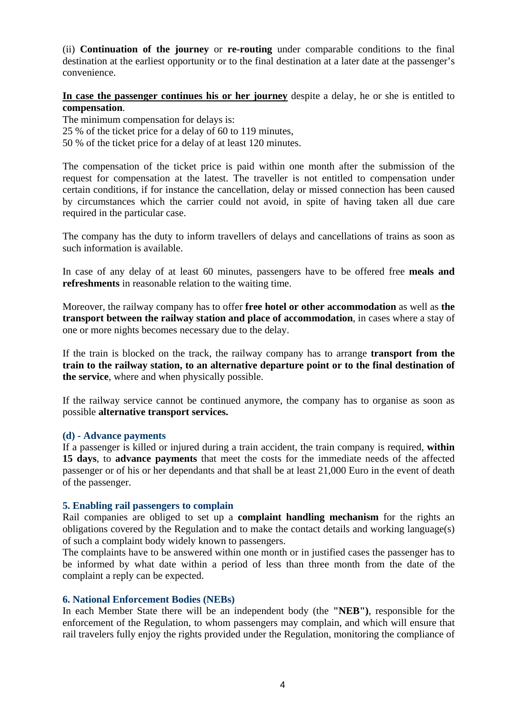(ii) **Continuation of the journey** or **re-routing** under comparable conditions to the final destination at the earliest opportunity or to the final destination at a later date at the passenger's convenience.

**In case the passenger continues his or her journey** despite a delay, he or she is entitled to **compensation**.

The minimum compensation for delays is:

25 % of the ticket price for a delay of 60 to 119 minutes,

50 % of the ticket price for a delay of at least 120 minutes.

The compensation of the ticket price is paid within one month after the submission of the request for compensation at the latest. The traveller is not entitled to compensation under certain conditions, if for instance the cancellation, delay or missed connection has been caused by circumstances which the carrier could not avoid, in spite of having taken all due care required in the particular case.

The company has the duty to inform travellers of delays and cancellations of trains as soon as such information is available.

In case of any delay of at least 60 minutes, passengers have to be offered free **meals and refreshments** in reasonable relation to the waiting time.

Moreover, the railway company has to offer **free hotel or other accommodation** as well as **the transport between the railway station and place of accommodation**, in cases where a stay of one or more nights becomes necessary due to the delay.

If the train is blocked on the track, the railway company has to arrange **transport from the train to the railway station, to an alternative departure point or to the final destination of the service**, where and when physically possible.

If the railway service cannot be continued anymore, the company has to organise as soon as possible **alternative transport services.** 

#### **(d) - Advance payments**

If a passenger is killed or injured during a train accident, the train company is required, **within 15 days**, to **advance payments** that meet the costs for the immediate needs of the affected passenger or of his or her dependants and that shall be at least 21,000 Euro in the event of death of the passenger.

### **5. Enabling rail passengers to complain**

Rail companies are obliged to set up a **complaint handling mechanism** for the rights an obligations covered by the Regulation and to make the contact details and working language(s) of such a complaint body widely known to passengers.

The complaints have to be answered within one month or in justified cases the passenger has to be informed by what date within a period of less than three month from the date of the complaint a reply can be expected.

#### **6. National Enforcement Bodies (NEBs)**

In each Member State there will be an independent body (the **"NEB")**, responsible for the enforcement of the Regulation, to whom passengers may complain, and which will ensure that rail travelers fully enjoy the rights provided under the Regulation, monitoring the compliance of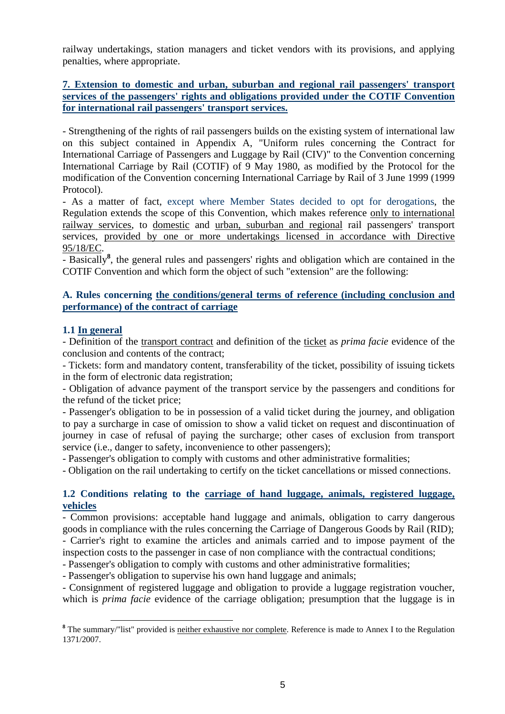railway undertakings, station managers and ticket vendors with its provisions, and applying penalties, where appropriate.

## **7. Extension to domestic and urban, suburban and regional rail passengers' transport services of the passengers' rights and obligations provided under the COTIF Convention for international rail passengers' transport services.**

- Strengthening of the rights of rail passengers builds on the existing system of international law on this subject contained in Appendix A, "Uniform rules concerning the Contract for International Carriage of Passengers and Luggage by Rail (CIV)" to the Convention concerning International Carriage by Rail (COTIF) of 9 May 1980, as modified by the Protocol for the modification of the Convention concerning International Carriage by Rail of 3 June 1999 (1999 Protocol).

- As a matter of fact, except where Member States decided to opt for derogations, the Regulation extends the scope of this Convention, which makes reference only to international railway services, to domestic and urban, suburban and regional rail passengers' transport services, provided by one or more undertakings licensed in accordance with Directive 95/18/EC.

- Basically**<sup>8</sup>** , the general rules and passengers' rights and obligation which are contained in the COTIF Convention and which form the object of such "extension" are the following:

### **A. Rules concerning the conditions/general terms of reference (including conclusion and performance) of the contract of carriage**

### **1.1 In general**

- Definition of the transport contract and definition of the ticket as *prima facie* evidence of the conclusion and contents of the contract;

- Tickets: form and mandatory content, transferability of the ticket, possibility of issuing tickets in the form of electronic data registration;

- Obligation of advance payment of the transport service by the passengers and conditions for the refund of the ticket price;

- Passenger's obligation to be in possession of a valid ticket during the journey, and obligation to pay a surcharge in case of omission to show a valid ticket on request and discontinuation of journey in case of refusal of paying the surcharge; other cases of exclusion from transport service (i.e., danger to safety, inconvenience to other passengers);

- Passenger's obligation to comply with customs and other administrative formalities;

- Obligation on the rail undertaking to certify on the ticket cancellations or missed connections.

### **1.2 Conditions relating to the carriage of hand luggage, animals, registered luggage, vehicles**

- Common provisions: acceptable hand luggage and animals, obligation to carry dangerous goods in compliance with the rules concerning the Carriage of Dangerous Goods by Rail (RID);

- Carrier's right to examine the articles and animals carried and to impose payment of the inspection costs to the passenger in case of non compliance with the contractual conditions;

- Passenger's obligation to comply with customs and other administrative formalities;

- Passenger's obligation to supervise his own hand luggage and animals;

- Consignment of registered luggage and obligation to provide a luggage registration voucher, which is *prima facie* evidence of the carriage obligation; presumption that the luggage is in

<sup>&</sup>lt;sup>8</sup> The summary/"list" provided is <u>neither exhaustive nor complete</u>. Reference is made to Annex I to the Regulation 1371/2007.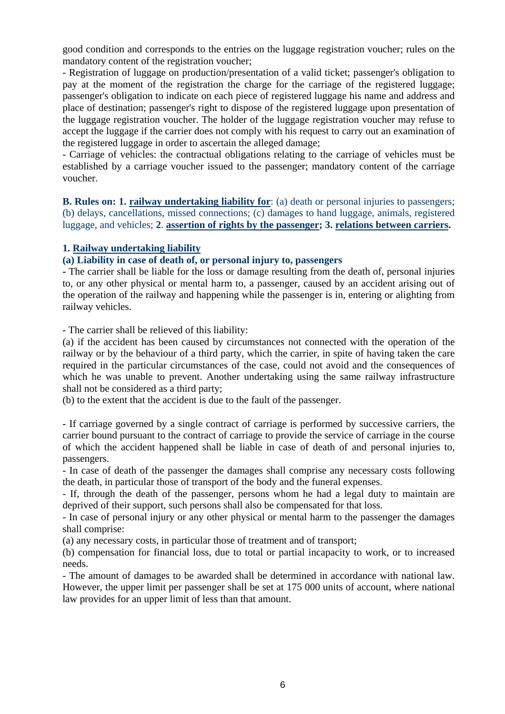good condition and corresponds to the entries on the luggage registration voucher; rules on the mandatory content of the registration voucher;

- Registration of luggage on production/presentation of a valid ticket; passenger's obligation to pay at the moment of the registration the charge for the carriage of the registered luggage; passenger's obligation to indicate on each piece of registered luggage his name and address and place of destination; passenger's right to dispose of the registered luggage upon presentation of the luggage registration voucher. The holder of the luggage registration voucher may refuse to accept the luggage if the carrier does not comply with his request to carry out an examination of the registered luggage in order to ascertain the alleged damage;

- Carriage of vehicles: the contractual obligations relating to the carriage of vehicles must be established by a carriage voucher issued to the passenger; mandatory content of the carriage voucher.

**B. Rules on: 1. railway undertaking liability for**: (a) death or personal injuries to passengers; (b) delays, cancellations, missed connections; (c) damages to hand luggage, animals, registered luggage, and vehicles; **2**. **assertion of rights by the passenger; 3. relations between carriers.** 

### **1. Railway undertaking liability**

#### **(a) Liability in case of death of, or personal injury to, passengers**

**-** The carrier shall be liable for the loss or damage resulting from the death of, personal injuries to, or any other physical or mental harm to, a passenger, caused by an accident arising out of the operation of the railway and happening while the passenger is in, entering or alighting from railway vehicles.

- The carrier shall be relieved of this liability:

(a) if the accident has been caused by circumstances not connected with the operation of the railway or by the behaviour of a third party, which the carrier, in spite of having taken the care required in the particular circumstances of the case, could not avoid and the consequences of which he was unable to prevent. Another undertaking using the same railway infrastructure shall not be considered as a third party;

(b) to the extent that the accident is due to the fault of the passenger.

- If carriage governed by a single contract of carriage is performed by successive carriers, the carrier bound pursuant to the contract of carriage to provide the service of carriage in the course of which the accident happened shall be liable in case of death of and personal injuries to, passengers.

- In case of death of the passenger the damages shall comprise any necessary costs following the death, in particular those of transport of the body and the funeral expenses.

- If, through the death of the passenger, persons whom he had a legal duty to maintain are deprived of their support, such persons shall also be compensated for that loss.

- In case of personal injury or any other physical or mental harm to the passenger the damages shall comprise:

(a) any necessary costs, in particular those of treatment and of transport;

(b) compensation for financial loss, due to total or partial incapacity to work, or to increased needs.

- The amount of damages to be awarded shall be determined in accordance with national law. However, the upper limit per passenger shall be set at 175 000 units of account, where national law provides for an upper limit of less than that amount.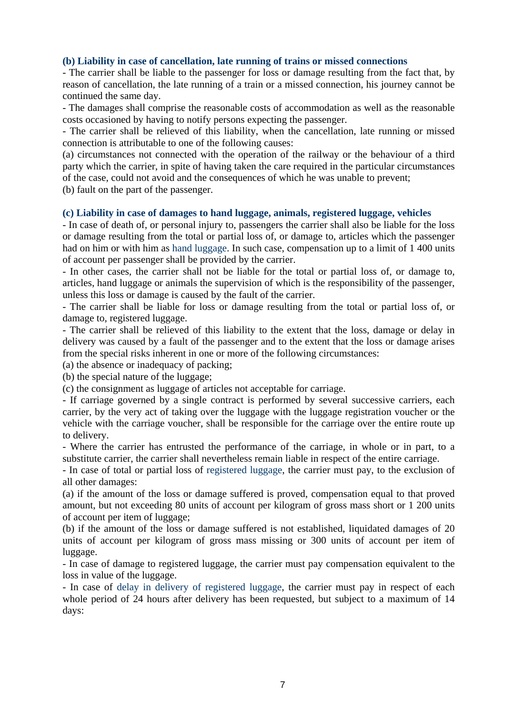### **(b) Liability in case of cancellation, late running of trains or missed connections**

- The carrier shall be liable to the passenger for loss or damage resulting from the fact that, by reason of cancellation, the late running of a train or a missed connection, his journey cannot be continued the same day.

- The damages shall comprise the reasonable costs of accommodation as well as the reasonable costs occasioned by having to notify persons expecting the passenger.

- The carrier shall be relieved of this liability, when the cancellation, late running or missed connection is attributable to one of the following causes:

(a) circumstances not connected with the operation of the railway or the behaviour of a third party which the carrier, in spite of having taken the care required in the particular circumstances of the case, could not avoid and the consequences of which he was unable to prevent;

(b) fault on the part of the passenger.

#### **(c) Liability in case of damages to hand luggage, animals, registered luggage, vehicles**

- In case of death of, or personal injury to, passengers the carrier shall also be liable for the loss or damage resulting from the total or partial loss of, or damage to, articles which the passenger had on him or with him as hand luggage. In such case, compensation up to a limit of 1 400 units of account per passenger shall be provided by the carrier.

- In other cases, the carrier shall not be liable for the total or partial loss of, or damage to, articles, hand luggage or animals the supervision of which is the responsibility of the passenger, unless this loss or damage is caused by the fault of the carrier.

- The carrier shall be liable for loss or damage resulting from the total or partial loss of, or damage to, registered luggage.

- The carrier shall be relieved of this liability to the extent that the loss, damage or delay in delivery was caused by a fault of the passenger and to the extent that the loss or damage arises from the special risks inherent in one or more of the following circumstances:

(a) the absence or inadequacy of packing;

(b) the special nature of the luggage;

(c) the consignment as luggage of articles not acceptable for carriage.

- If carriage governed by a single contract is performed by several successive carriers, each carrier, by the very act of taking over the luggage with the luggage registration voucher or the vehicle with the carriage voucher, shall be responsible for the carriage over the entire route up to delivery.

- Where the carrier has entrusted the performance of the carriage, in whole or in part, to a substitute carrier, the carrier shall nevertheless remain liable in respect of the entire carriage.

- In case of total or partial loss of registered luggage, the carrier must pay, to the exclusion of all other damages:

(a) if the amount of the loss or damage suffered is proved, compensation equal to that proved amount, but not exceeding 80 units of account per kilogram of gross mass short or 1 200 units of account per item of luggage;

(b) if the amount of the loss or damage suffered is not established, liquidated damages of 20 units of account per kilogram of gross mass missing or 300 units of account per item of luggage.

- In case of damage to registered luggage, the carrier must pay compensation equivalent to the loss in value of the luggage.

- In case of delay in delivery of registered luggage, the carrier must pay in respect of each whole period of 24 hours after delivery has been requested, but subject to a maximum of 14 days: